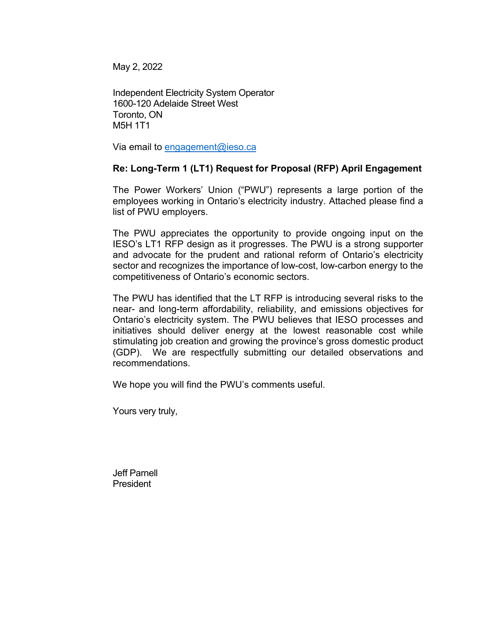May 2, 2022

Independent Electricity System Operator 1600-120 Adelaide Street West Toronto, ON M5H 1T1

Via email to [engagement@ieso.ca](mailto:engagement@ieso.ca)

# **Re: Long-Term 1 (LT1) Request for Proposal (RFP) April Engagement**

The Power Workers' Union ("PWU") represents a large portion of the employees working in Ontario's electricity industry. Attached please find a list of PWU employers.

The PWU appreciates the opportunity to provide ongoing input on the IESO's LT1 RFP design as it progresses. The PWU is a strong supporter and advocate for the prudent and rational reform of Ontario's electricity sector and recognizes the importance of low-cost, low-carbon energy to the competitiveness of Ontario's economic sectors.

The PWU has identified that the LT RFP is introducing several risks to the near- and long-term affordability, reliability, and emissions objectives for Ontario's electricity system. The PWU believes that IESO processes and initiatives should deliver energy at the lowest reasonable cost while stimulating job creation and growing the province's gross domestic product (GDP). We are respectfully submitting our detailed observations and recommendations.

We hope you will find the PWU's comments useful.

Yours very truly,

Jeff Parnell President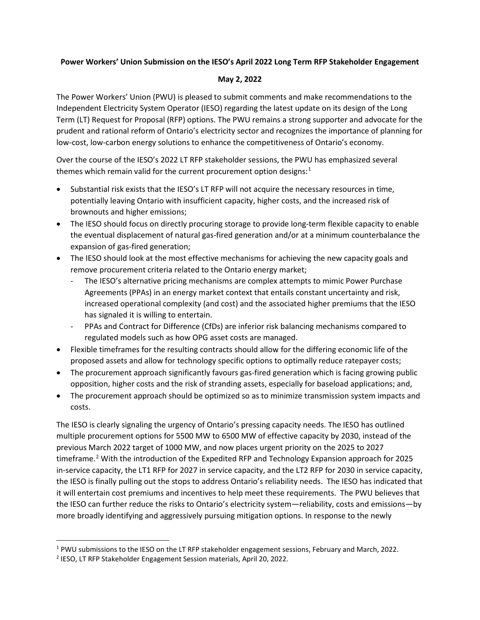### **Power Workers' Union Submission on the IESO's April 2022 Long Term RFP Stakeholder Engagement**

#### **May 2, 2022**

The Power Workers' Union (PWU) is pleased to submit comments and make recommendations to the Independent Electricity System Operator (IESO) regarding the latest update on its design of the Long Term (LT) Request for Proposal (RFP) options. The PWU remains a strong supporter and advocate for the prudent and rational reform of Ontario's electricity sector and recognizes the importance of planning for low-cost, low-carbon energy solutions to enhance the competitiveness of Ontario's economy.

Over the course of the IESO's 2022 LT RFP stakeholder sessions, the PWU has emphasized several themes which remain valid for the current procurement option designs:<sup>[1](#page-1-0)</sup>

- Substantial risk exists that the IESO's LT RFP will not acquire the necessary resources in time, potentially leaving Ontario with insufficient capacity, higher costs, and the increased risk of brownouts and higher emissions;
- The IESO should focus on directly procuring storage to provide long-term flexible capacity to enable the eventual displacement of natural gas-fired generation and/or at a minimum counterbalance the expansion of gas-fired generation;
- The IESO should look at the most effective mechanisms for achieving the new capacity goals and remove procurement criteria related to the Ontario energy market;
	- The IESO's alternative pricing mechanisms are complex attempts to mimic Power Purchase Agreements (PPAs) in an energy market context that entails constant uncertainty and risk, increased operational complexity (and cost) and the associated higher premiums that the IESO has signaled it is willing to entertain.
	- PPAs and Contract for Difference (CfDs) are inferior risk balancing mechanisms compared to regulated models such as how OPG asset costs are managed.
- Flexible timeframes for the resulting contracts should allow for the differing economic life of the proposed assets and allow for technology specific options to optimally reduce ratepayer costs;
- The procurement approach significantly favours gas-fired generation which is facing growing public opposition, higher costs and the risk of stranding assets, especially for baseload applications; and,
- The procurement approach should be optimized so as to minimize transmission system impacts and costs.

The IESO is clearly signaling the urgency of Ontario's pressing capacity needs. The IESO has outlined multiple procurement options for 5500 MW to 6500 MW of effective capacity by 2030, instead of the previous March 2022 target of 1000 MW, and now places urgent priority on the 2025 to 2027 timeframe.<sup>[2](#page-1-1)</sup> With the introduction of the Expedited RFP and Technology Expansion approach for 2025 in-service capacity, the LT1 RFP for 2027 in service capacity, and the LT2 RFP for 2030 in service capacity, the IESO is finally pulling out the stops to address Ontario's reliability needs. The IESO has indicated that it will entertain cost premiums and incentives to help meet these requirements. The PWU believes that the IESO can further reduce the risks to Ontario's electricity system—reliability, costs and emissions—by more broadly identifying and aggressively pursuing mitigation options. In response to the newly

<span id="page-1-0"></span><sup>1</sup> PWU submissions to the IESO on the LT RFP stakeholder engagement sessions, February and March, 2022.

<span id="page-1-1"></span><sup>2</sup> IESO, LT RFP Stakeholder Engagement Session materials, April 20, 2022.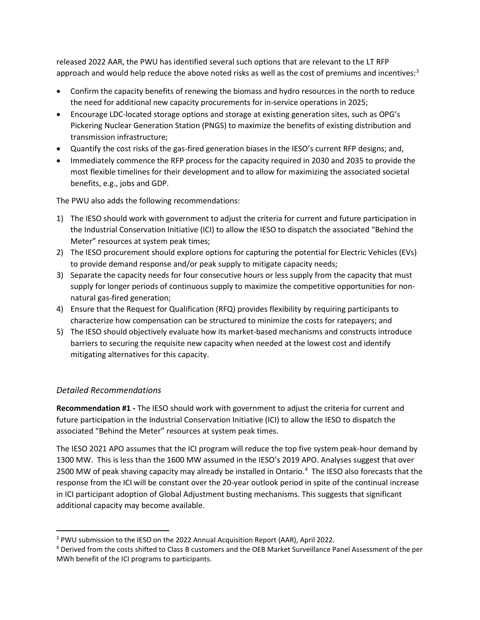released 2022 AAR, the PWU has identified several such options that are relevant to the LT RFP approach and would help reduce the above noted risks as well as the cost of premiums and incentives:<sup>[3](#page-2-0)</sup>

- Confirm the capacity benefits of renewing the biomass and hydro resources in the north to reduce the need for additional new capacity procurements for in-service operations in 2025;
- Encourage LDC-located storage options and storage at existing generation sites, such as OPG's Pickering Nuclear Generation Station (PNGS) to maximize the benefits of existing distribution and transmission infrastructure;
- Quantify the cost risks of the gas-fired generation biases in the IESO's current RFP designs; and,
- Immediately commence the RFP process for the capacity required in 2030 and 2035 to provide the most flexible timelines for their development and to allow for maximizing the associated societal benefits, e.g., jobs and GDP.

The PWU also adds the following recommendations:

- 1) The IESO should work with government to adjust the criteria for current and future participation in the Industrial Conservation Initiative (ICI) to allow the IESO to dispatch the associated "Behind the Meter" resources at system peak times;
- 2) The IESO procurement should explore options for capturing the potential for Electric Vehicles (EVs) to provide demand response and/or peak supply to mitigate capacity needs;
- 3) Separate the capacity needs for four consecutive hours or less supply from the capacity that must supply for longer periods of continuous supply to maximize the competitive opportunities for nonnatural gas-fired generation;
- 4) Ensure that the Request for Qualification (RFQ) provides flexibility by requiring participants to characterize how compensation can be structured to minimize the costs for ratepayers; and
- 5) The IESO should objectively evaluate how its market-based mechanisms and constructs introduce barriers to securing the requisite new capacity when needed at the lowest cost and identify mitigating alternatives for this capacity.

## *Detailed Recommendations*

**Recommendation #1 -** The IESO should work with government to adjust the criteria for current and future participation in the Industrial Conservation Initiative (ICI) to allow the IESO to dispatch the associated "Behind the Meter" resources at system peak times.

The IESO 2021 APO assumes that the ICI program will reduce the top five system peak-hour demand by 1300 MW. This is less than the 1600 MW assumed in the IESO's 2019 APO. Analyses suggest that over 2500 MW of peak shaving capacity may already be installed in Ontario. [4](#page-2-1) The IESO also forecasts that the response from the ICI will be constant over the 20-year outlook period in spite of the continual increase in ICI participant adoption of Global Adjustment busting mechanisms. This suggests that significant additional capacity may become available.

<span id="page-2-0"></span><sup>3</sup> PWU submission to the IESO on the 2022 Annual Acquisition Report (AAR), April 2022.

<span id="page-2-1"></span><sup>4</sup> Derived from the costs shifted to Class B customers and the OEB Market Surveillance Panel Assessment of the per MWh benefit of the ICI programs to participants.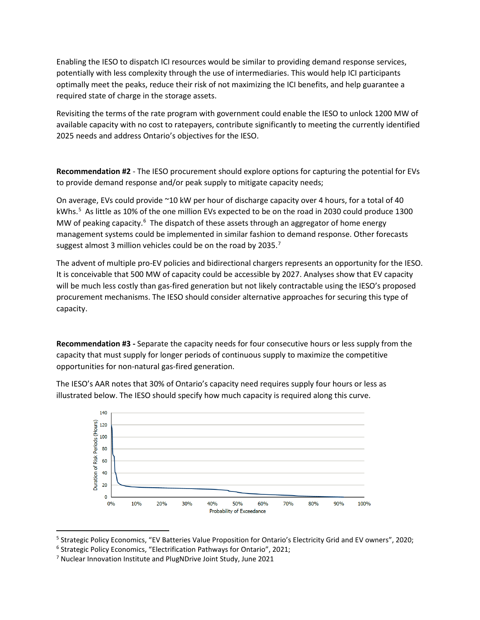Enabling the IESO to dispatch ICI resources would be similar to providing demand response services, potentially with less complexity through the use of intermediaries. This would help ICI participants optimally meet the peaks, reduce their risk of not maximizing the ICI benefits, and help guarantee a required state of charge in the storage assets.

Revisiting the terms of the rate program with government could enable the IESO to unlock 1200 MW of available capacity with no cost to ratepayers, contribute significantly to meeting the currently identified 2025 needs and address Ontario's objectives for the IESO.

**Recommendation #2** - The IESO procurement should explore options for capturing the potential for EVs to provide demand response and/or peak supply to mitigate capacity needs;

On average, EVs could provide ~10 kW per hour of discharge capacity over 4 hours, for a total of 40 kWhs.[5](#page-3-0) As little as 10% of the one million EVs expected to be on the road in 2030 could produce 1300 MW of peaking capacity.<sup>[6](#page-3-1)</sup> The dispatch of these assets through an aggregator of home energy management systems could be implemented in similar fashion to demand response. Other forecasts suggest almost 3 million vehicles could be on the road by 2035.<sup>[7](#page-3-2)</sup>

The advent of multiple pro-EV policies and bidirectional chargers represents an opportunity for the IESO. It is conceivable that 500 MW of capacity could be accessible by 2027. Analyses show that EV capacity will be much less costly than gas-fired generation but not likely contractable using the IESO's proposed procurement mechanisms. The IESO should consider alternative approaches for securing this type of capacity.

**Recommendation #3 -** Separate the capacity needs for four consecutive hours or less supply from the capacity that must supply for longer periods of continuous supply to maximize the competitive opportunities for non-natural gas-fired generation.



The IESO's AAR notes that 30% of Ontario's capacity need requires supply four hours or less as illustrated below. The IESO should specify how much capacity is required along this curve.

50%

Probability of Exceedance

60%

70%

80%

 $90%$ 

100%

30%

40%

 $20%$ 

 $20$  $\mathbf 0$ 

 $0%$ 

 $10%$ 

<span id="page-3-0"></span><sup>5</sup> Strategic Policy Economics, "EV Batteries Value Proposition for Ontario's Electricity Grid and EV owners", 2020;

<span id="page-3-1"></span><sup>&</sup>lt;sup>6</sup> Strategic Policy Economics, "Electrification Pathways for Ontario", 2021;

<span id="page-3-2"></span><sup>7</sup> Nuclear Innovation Institute and PlugNDrive Joint Study, June 2021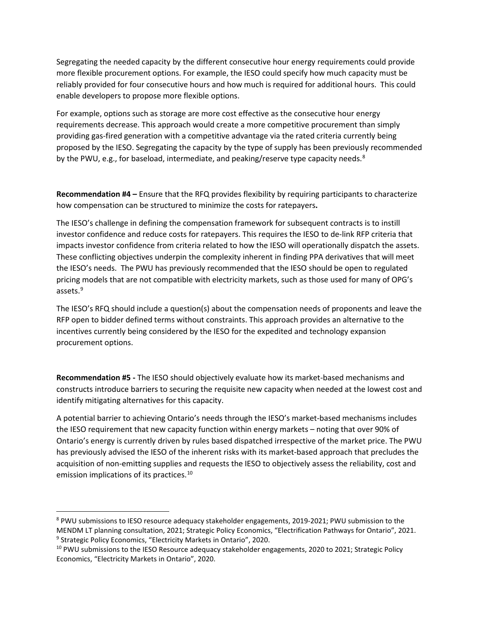Segregating the needed capacity by the different consecutive hour energy requirements could provide more flexible procurement options. For example, the IESO could specify how much capacity must be reliably provided for four consecutive hours and how much is required for additional hours. This could enable developers to propose more flexible options.

For example, options such as storage are more cost effective as the consecutive hour energy requirements decrease. This approach would create a more competitive procurement than simply providing gas-fired generation with a competitive advantage via the rated criteria currently being proposed by the IESO. Segregating the capacity by the type of supply has been previously recommended by the PWU, e.g., for baseload, intermediate, and peaking/reserve type capacity needs. $8$ 

**Recommendation #4 –** Ensure that the RFQ provides flexibility by requiring participants to characterize how compensation can be structured to minimize the costs for ratepayers**.**

The IESO's challenge in defining the compensation framework for subsequent contracts is to instill investor confidence and reduce costs for ratepayers. This requires the IESO to de-link RFP criteria that impacts investor confidence from criteria related to how the IESO will operationally dispatch the assets. These conflicting objectives underpin the complexity inherent in finding PPA derivatives that will meet the IESO's needs. The PWU has previously recommended that the IESO should be open to regulated pricing models that are not compatible with electricity markets, such as those used for many of OPG's assets.[9](#page-4-1)

The IESO's RFQ should include a question(s) about the compensation needs of proponents and leave the RFP open to bidder defined terms without constraints. This approach provides an alternative to the incentives currently being considered by the IESO for the expedited and technology expansion procurement options.

**Recommendation #5 -** The IESO should objectively evaluate how its market-based mechanisms and constructs introduce barriers to securing the requisite new capacity when needed at the lowest cost and identify mitigating alternatives for this capacity.

A potential barrier to achieving Ontario's needs through the IESO's market-based mechanisms includes the IESO requirement that new capacity function within energy markets – noting that over 90% of Ontario's energy is currently driven by rules based dispatched irrespective of the market price. The PWU has previously advised the IESO of the inherent risks with its market-based approach that precludes the acquisition of non-emitting supplies and requests the IESO to objectively assess the reliability, cost and emission implications of its practices.<sup>[10](#page-4-2)</sup>

<span id="page-4-0"></span><sup>&</sup>lt;sup>8</sup> PWU submissions to IESO resource adequacy stakeholder engagements, 2019-2021; PWU submission to the MENDM LT planning consultation, 2021; Strategic Policy Economics, "Electrification Pathways for Ontario", 2021. <sup>9</sup> Strategic Policy Economics, "Electricity Markets in Ontario", 2020.

<span id="page-4-2"></span><span id="page-4-1"></span><sup>&</sup>lt;sup>10</sup> PWU submissions to the IESO Resource adequacy stakeholder engagements, 2020 to 2021; Strategic Policy Economics, "Electricity Markets in Ontario", 2020.